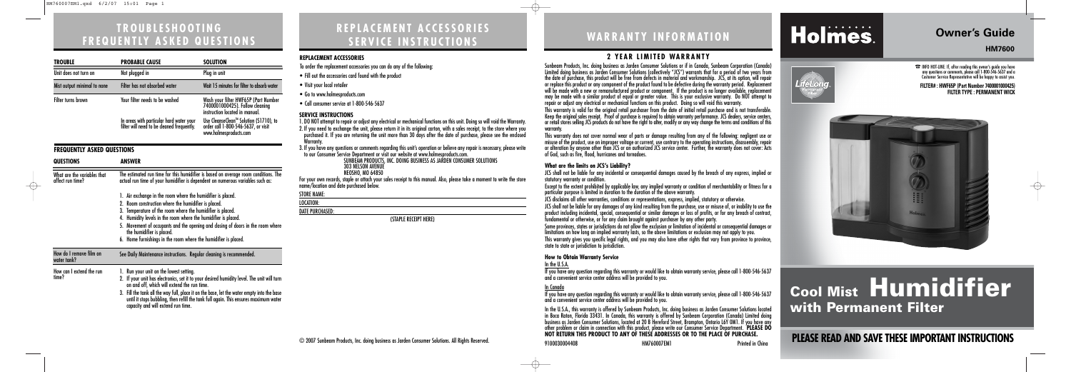## **WARRANTY INFORMATION**

### **2 YEAR LIMITED WARRANTY**

Sunbeam Products, Inc. doing business as Jarden Consumer Solutions or if in Canada, Sunbeam Corporation (Canada) Limited doing business as Jarden Consumer Solutions (collectively "JCS") warrants that for a period of two years from the date of purchase, this product will be free from defects in material and workmanship. JCS, at its option, will repair or replace this product or any component of the product found to be defective during the warranty period. Replacement will be made with a new or remanufactured product or component. If the product is no longer available, replacement may be made with a similar product of equal or greater value. This is your exclusive warranty. Do NOT attempt to repair or adjust any electrical or mechanical functions on this product. Doing so will void this warranty.

This warranty is valid for the original retail purchaser from the date of initial retail purchase and is not transferable. Keep the original sales receipt. Proof of purchase is required to obtain warranty performance. JCS dealers, service centers, or retail stores selling JCS products do not have the right to alter, modify or any way change the terms and conditions of this

warranty.

This warranty does not cover normal wear of parts or damage resulting from any of the following: negligent use or misuse of the product, use on improper voltage or current, use contrary to the operating instructions, disassembly, repair or alteration by anyone other than JCS or an authorized JCS service center. Further, the warranty does not cover: Acts of God, such as fire, flood, hurricanes and tornadoes.

#### **What are the limits on JCS's Liability?**

JCS shall not be liable for any incidental or consequential damages caused by the breach of any express, implied or statutory warranty or condition.

Except to the extent prohibited by applicable law, any implied warranty or condition of merchantability or fitness for a particular purpose is limited in duration to the duration of the above warranty.

JCS disclaims all other warranties, conditions or representations, express, implied, statutory or otherwise.

JCS shall not be liable for any damages of any kind resulting from the purchase, use or misuse of, or inability to use the product including incidental, special, consequential or similar damages or loss of profits, or for any breach of contract, fundamental or otherwise, or for any claim brought against purchaser by any other party.

Some provinces, states or jurisdictions do not allow the exclusion or limitation of incidental or consequential damages or limitations on how long an implied warranty lasts, so the above limitations or exclusion may not apply to you.

This warranty gives you specific legal rights, and you may also have other rights that vary from province to province, state to state or jurisdiction to jurisdiction.

#### **How to Obtain Warranty Service**

#### In the U.S.A.

If you have any question regarding this warranty or would like to obtain warranty service, please call 1-800-546-5637 and a convenient service center address will be provided to you.

In Canada

If you have any question regarding this warranty or would like to obtain warranty service, please call 1-800-546-5637

# Holmes.

and a convenient service center address will be provided to you. In the U.S.A., this warranty is offered by Sunbeam Products, Inc. doing business as Jarden Consumer Solutions located in Boca Raton, Florida 33431. In Canada, this warranty is offered by Sunbeam Corporation (Canada) Limited doing business as Jarden Consumer Solutions, located at 20 B Hereford Street, Brampton, Ontario L6Y 0M1. If you have any other problem or claim in connection with this product, please write our Consumer Service Department. **PLEASE DO**

### **Owner's Guide**

#### **HM7600**



☎INFO HOT-LINE: If, after reading this owner's guide you have any questions or comments, please call 1-800-546-5637 and a Customer Service Representative will be happy to assist you.

# **Cool Mist Humidifier with Permanent Filter**

## NOT RETURN THIS PRODUCT TO ANY OF THESE ADDRESSES OR TO THE PLACE OF PURCHASE.<br>Printed in Ching<br>Printed in Ching<br>Printed in Ching

#### **FILTER# : HWF65P (Part Number 7400001000425) FILTER TYPE : PERMANENT WICK**



### **REPLACEMENT ACCESSORIES SERVICE INSTRUCTIONS**

#### **REPLACEMENT ACCESSORIES**

| REFLALEMENI ALLEJJURIEJ                                                                                                                                                                                                                                                                                                                                                                                             |
|---------------------------------------------------------------------------------------------------------------------------------------------------------------------------------------------------------------------------------------------------------------------------------------------------------------------------------------------------------------------------------------------------------------------|
| To order the replacement accessories you can do any of the following:                                                                                                                                                                                                                                                                                                                                               |
| • Fill out the accessories card found with the product                                                                                                                                                                                                                                                                                                                                                              |
| • Visit your local retailer                                                                                                                                                                                                                                                                                                                                                                                         |
| • Go to www.holmesproducts.com                                                                                                                                                                                                                                                                                                                                                                                      |
| • Call consumer service at 1-800-546-5637                                                                                                                                                                                                                                                                                                                                                                           |
| SERVICE INSTRUCTIONS<br>1. DO NOT attempt to repair or adjust any electrical or mechanical functions on this unit. Doing so will void the Warranty.<br>2. If you need to exchange the unit, please return it in its original carton, with a sales receipt, to the store where you<br>purchased it. If you are returning the unit more than 30 days after the date of purchase, please see the enclosed<br>Warranty. |
| 3. If you have any questions or comments regarding this unit's operation or believe any repair is necessary, please write<br>to our Consumer Service Department or visit our website at www.holmesproducts.com.<br>SUNBEAM PRODUCTS, INC. DOING BUSINESS AS JARDEN CONSUMER SOLUTIONS<br><b>303 NELSON AVENUE</b><br><b>NEOSHO, MO 64850</b>                                                                        |
| For your own records, staple or attach your sales receipt to this manual. Also, please take a moment to write the store<br>name/location and date purchased below.                                                                                                                                                                                                                                                  |
| <b>STORE NAME:</b>                                                                                                                                                                                                                                                                                                                                                                                                  |
| LOCATION:                                                                                                                                                                                                                                                                                                                                                                                                           |
| <b>DATE PURCHASED:</b>                                                                                                                                                                                                                                                                                                                                                                                              |
| (STAPLE RECEIPT HERE)                                                                                                                                                                                                                                                                                                                                                                                               |
|                                                                                                                                                                                                                                                                                                                                                                                                                     |
|                                                                                                                                                                                                                                                                                                                                                                                                                     |
|                                                                                                                                                                                                                                                                                                                                                                                                                     |
|                                                                                                                                                                                                                                                                                                                                                                                                                     |
|                                                                                                                                                                                                                                                                                                                                                                                                                     |
|                                                                                                                                                                                                                                                                                                                                                                                                                     |
|                                                                                                                                                                                                                                                                                                                                                                                                                     |
|                                                                                                                                                                                                                                                                                                                                                                                                                     |

### **TROUBLESHOOTING FREQUENTLY ASKED QUESTIONS**

| <b>TROUBLE</b>                                  | <b>PROBABLE CAUSE</b>                                                                                                                                                                                                                                                   | <b>SOLUTION</b>                                                                                           |  |
|-------------------------------------------------|-------------------------------------------------------------------------------------------------------------------------------------------------------------------------------------------------------------------------------------------------------------------------|-----------------------------------------------------------------------------------------------------------|--|
| Unit does not turn on                           | Not plugged in                                                                                                                                                                                                                                                          | Plug in unit                                                                                              |  |
| Mist output minimal to none                     | Filter has not absorbed water                                                                                                                                                                                                                                           | Wait 15 minutes for filter to absorb water                                                                |  |
| Filter turns brown                              | Your filter needs to be washed                                                                                                                                                                                                                                          | Wash your filter HWF65P (Part Number<br>7400001000425). Follow cleaning<br>instruction located in manual. |  |
|                                                 | In areas with particular hard water your<br>filter will need to be cleaned frequently.                                                                                                                                                                                  | Use CleanseClean™ Solution (S1710), to<br>order call 1-800-546-5637, or visit<br>www.holmesproducts.com   |  |
| <b>FREQUENTLY ASKED QUESTIONS</b>               |                                                                                                                                                                                                                                                                         |                                                                                                           |  |
| <b>QUESTIONS</b>                                | <b>ANSWER</b>                                                                                                                                                                                                                                                           |                                                                                                           |  |
| What are the variables that<br>affect run time? | The estimated run time for this humidifier is based on average room conditions. The<br>actual run time of your humidifier is dependent on numerous variables such as:                                                                                                   |                                                                                                           |  |
|                                                 | 1. Air exchange in the room where the humidifier is placed.                                                                                                                                                                                                             |                                                                                                           |  |
|                                                 | 2. Room construction where the humidifier is placed.                                                                                                                                                                                                                    |                                                                                                           |  |
|                                                 | 3. Temperature of the room where the humidifier is placed.<br>4. Humidity levels in the room where the humidifier is placed.                                                                                                                                            |                                                                                                           |  |
|                                                 | 5. Movement of occupants and the opening and closing of doors in the room where<br>the humidifier is placed.                                                                                                                                                            |                                                                                                           |  |
|                                                 | 6. Home furnishings in the room where the humidifier is placed.                                                                                                                                                                                                         |                                                                                                           |  |
| How do I remove film on<br>water tank?          | See Daily Maintenance instructions. Regular cleaning is recommended.                                                                                                                                                                                                    |                                                                                                           |  |
| How can I extend the run<br>time?               | 1. Run your unit on the lowest setting.<br>2. If your unit has electronics, set it to your desired humidity level. The unit will turn                                                                                                                                   |                                                                                                           |  |
|                                                 | on and off, which will extend the run time.<br>3. Fill the tank all the way full, place it on the base, let the water empty into the base<br>until it stops bubbling, then refill the tank full again. This ensures maximum water<br>capacity and will extend run time. |                                                                                                           |  |